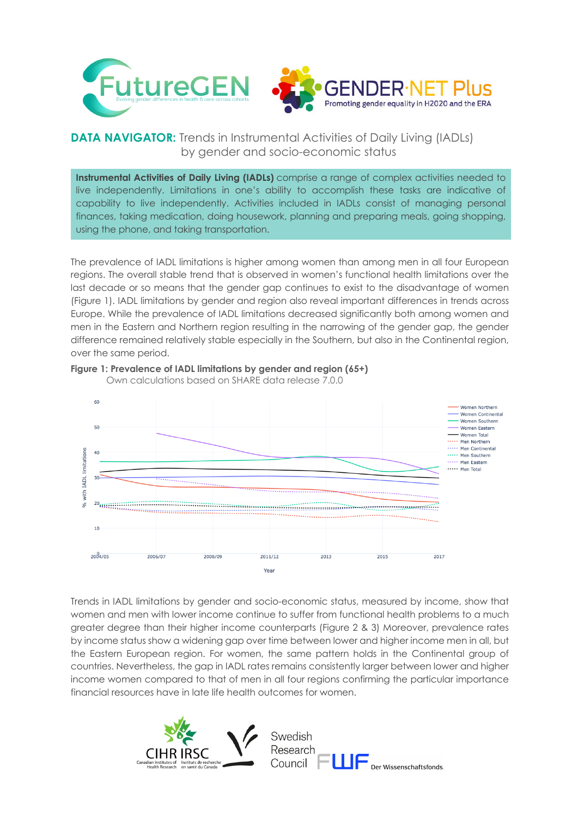

## **DATA NAVIGATOR:** Trends in Instrumental Activities of Daily Living (IADLs) by gender and socio-economic status

**Instrumental Activities of Daily Living (IADLs)** comprise a range of complex activities needed to live independently. Limitations in one's ability to accomplish these tasks are indicative of capability to live independently. Activities included in IADLs consist of managing personal finances, taking medication, doing housework, planning and preparing meals, going shopping, using the phone, and taking transportation.

The prevalence of IADL limitations is higher among women than among men in all four European regions. The overall stable trend that is observed in women's functional health limitations over the last decade or so means that the gender gap continues to exist to the disadvantage of women (Figure 1). IADL limitations by gender and region also reveal important differences in trends across Europe. While the prevalence of IADL limitations decreased significantly both among women and men in the Eastern and Northern region resulting in the narrowing of the gender gap, the gender difference remained relatively stable especially in the Southern, but also in the Continental region, over the same period.



## **Figure 1: Prevalence of IADL limitations by gender and region (65+)**

Own calculations based on SHARE data release 7.0.0

Trends in IADL limitations by gender and socio-economic status, measured by income, show that women and men with lower income continue to suffer from functional health problems to a much greater degree than their higher income counterparts (Figure 2 & 3) Moreover, prevalence rates by income status show a widening gap over time between lower and higher income men in all, but the Eastern European region. For women, the same pattern holds in the Continental group of countries. Nevertheless, the gap in IADL rates remains consistently larger between lower and higher income women compared to that of men in all four regions confirming the particular importance financial resources have in late life health outcomes for women.



Swedish Research Der Wissenschaftsfonds. Council F